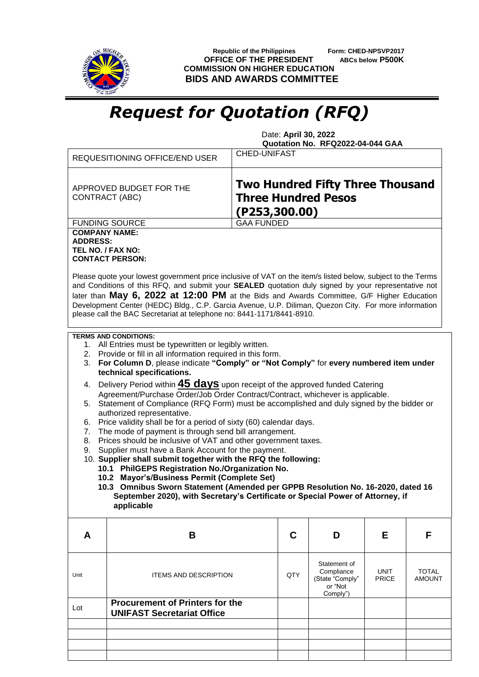

 **Republic of the Philippines Form: CHED-NPSVP2017 OFFICE OF THE PRESIDENT ABCs below P500K COMMISSION ON HIGHER EDUCATION BIDS AND AWARDS COMMITTEE**

## *Request for Quotation (RFQ)*

 Date: **April 30, 2022 Quotation No. RFQ2022-04-044 GAA**

|                                                                                                                                                                                                                                                                                                                                                                                                                                                                                                                                                                                                                                                                                                                                                                                                                                                                                                                                                                                                                                                                                                                                                                                                                                  | REQUESITIONING OFFICE/END USER                                                                                                                                                                                                                                                                                                                                                                                                                    | <b>CHED-UNIFAST</b>                                                                     |                                                                      |                             |                        |  |  |
|----------------------------------------------------------------------------------------------------------------------------------------------------------------------------------------------------------------------------------------------------------------------------------------------------------------------------------------------------------------------------------------------------------------------------------------------------------------------------------------------------------------------------------------------------------------------------------------------------------------------------------------------------------------------------------------------------------------------------------------------------------------------------------------------------------------------------------------------------------------------------------------------------------------------------------------------------------------------------------------------------------------------------------------------------------------------------------------------------------------------------------------------------------------------------------------------------------------------------------|---------------------------------------------------------------------------------------------------------------------------------------------------------------------------------------------------------------------------------------------------------------------------------------------------------------------------------------------------------------------------------------------------------------------------------------------------|-----------------------------------------------------------------------------------------|----------------------------------------------------------------------|-----------------------------|------------------------|--|--|
| CONTRACT (ABC)                                                                                                                                                                                                                                                                                                                                                                                                                                                                                                                                                                                                                                                                                                                                                                                                                                                                                                                                                                                                                                                                                                                                                                                                                   | APPROVED BUDGET FOR THE                                                                                                                                                                                                                                                                                                                                                                                                                           | <b>Two Hundred Fifty Three Thousand</b><br><b>Three Hundred Pesos</b><br>(P253, 300.00) |                                                                      |                             |                        |  |  |
|                                                                                                                                                                                                                                                                                                                                                                                                                                                                                                                                                                                                                                                                                                                                                                                                                                                                                                                                                                                                                                                                                                                                                                                                                                  | <b>FUNDING SOURCE</b>                                                                                                                                                                                                                                                                                                                                                                                                                             | <b>GAA FUNDED</b>                                                                       |                                                                      |                             |                        |  |  |
| <b>COMPANY NAME:</b><br><b>ADDRESS:</b><br>TEL NO. / FAX NO:                                                                                                                                                                                                                                                                                                                                                                                                                                                                                                                                                                                                                                                                                                                                                                                                                                                                                                                                                                                                                                                                                                                                                                     | <b>CONTACT PERSON:</b><br>Please quote your lowest government price inclusive of VAT on the item/s listed below, subject to the Terms<br>and Conditions of this RFQ, and submit your SEALED quotation duly signed by your representative not<br>later than May 6, 2022 at 12:00 PM at the Bids and Awards Committee, G/F Higher Education<br>Development Center (HEDC) Bldg., C.P. Garcia Avenue, U.P. Diliman, Quezon City. For more information |                                                                                         |                                                                      |                             |                        |  |  |
|                                                                                                                                                                                                                                                                                                                                                                                                                                                                                                                                                                                                                                                                                                                                                                                                                                                                                                                                                                                                                                                                                                                                                                                                                                  | please call the BAC Secretariat at telephone no: 8441-1171/8441-8910.                                                                                                                                                                                                                                                                                                                                                                             |                                                                                         |                                                                      |                             |                        |  |  |
| <b>TERMS AND CONDITIONS:</b><br>1. All Entries must be typewritten or legibly written.<br>2. Provide or fill in all information required in this form.<br>For Column D, please indicate "Comply" or "Not Comply" for every numbered item under<br>3.<br>technical specifications.<br>Delivery Period within <b>45 days</b> upon receipt of the approved funded Catering<br>4.<br>Agreement/Purchase Order/Job Order Contract/Contract, whichever is applicable.<br>5. Statement of Compliance (RFQ Form) must be accomplished and duly signed by the bidder or<br>authorized representative.<br>Price validity shall be for a period of sixty (60) calendar days.<br>6.<br>The mode of payment is through send bill arrangement.<br>7.<br>Prices should be inclusive of VAT and other government taxes.<br>8.<br>Supplier must have a Bank Account for the payment.<br>9.<br>10. Supplier shall submit together with the RFQ the following:<br>10.1 PhilGEPS Registration No./Organization No.<br>10.2 Mayor's/Business Permit (Complete Set)<br>10.3 Omnibus Sworn Statement (Amended per GPPB Resolution No. 16-2020, dated 16<br>September 2020), with Secretary's Certificate or Special Power of Attorney, if<br>applicable |                                                                                                                                                                                                                                                                                                                                                                                                                                                   |                                                                                         |                                                                      |                             |                        |  |  |
| A                                                                                                                                                                                                                                                                                                                                                                                                                                                                                                                                                                                                                                                                                                                                                                                                                                                                                                                                                                                                                                                                                                                                                                                                                                | B                                                                                                                                                                                                                                                                                                                                                                                                                                                 | C                                                                                       | D                                                                    | Е                           | F                      |  |  |
| Unit                                                                                                                                                                                                                                                                                                                                                                                                                                                                                                                                                                                                                                                                                                                                                                                                                                                                                                                                                                                                                                                                                                                                                                                                                             | <b>ITEMS AND DESCRIPTION</b>                                                                                                                                                                                                                                                                                                                                                                                                                      | QTY                                                                                     | Statement of<br>Compliance<br>(State "Comply"<br>or "Not<br>Comply") | <b>UNIT</b><br><b>PRICE</b> | TOTAL<br><b>AMOUNT</b> |  |  |
| Lot                                                                                                                                                                                                                                                                                                                                                                                                                                                                                                                                                                                                                                                                                                                                                                                                                                                                                                                                                                                                                                                                                                                                                                                                                              | <b>Procurement of Printers for the</b><br><b>UNIFAST Secretariat Office</b>                                                                                                                                                                                                                                                                                                                                                                       |                                                                                         |                                                                      |                             |                        |  |  |
|                                                                                                                                                                                                                                                                                                                                                                                                                                                                                                                                                                                                                                                                                                                                                                                                                                                                                                                                                                                                                                                                                                                                                                                                                                  |                                                                                                                                                                                                                                                                                                                                                                                                                                                   |                                                                                         |                                                                      |                             |                        |  |  |
|                                                                                                                                                                                                                                                                                                                                                                                                                                                                                                                                                                                                                                                                                                                                                                                                                                                                                                                                                                                                                                                                                                                                                                                                                                  |                                                                                                                                                                                                                                                                                                                                                                                                                                                   |                                                                                         |                                                                      |                             |                        |  |  |
|                                                                                                                                                                                                                                                                                                                                                                                                                                                                                                                                                                                                                                                                                                                                                                                                                                                                                                                                                                                                                                                                                                                                                                                                                                  |                                                                                                                                                                                                                                                                                                                                                                                                                                                   |                                                                                         |                                                                      |                             |                        |  |  |
|                                                                                                                                                                                                                                                                                                                                                                                                                                                                                                                                                                                                                                                                                                                                                                                                                                                                                                                                                                                                                                                                                                                                                                                                                                  |                                                                                                                                                                                                                                                                                                                                                                                                                                                   |                                                                                         |                                                                      |                             |                        |  |  |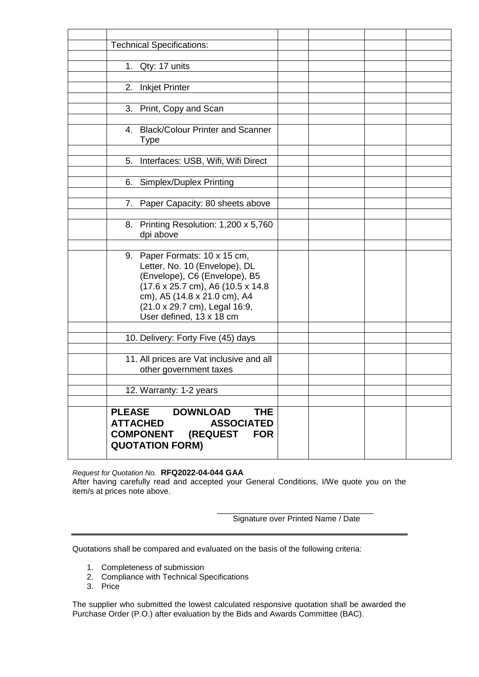| <b>Technical Specifications:</b>               |  |  |
|------------------------------------------------|--|--|
|                                                |  |  |
| 1. Qty: 17 units                               |  |  |
|                                                |  |  |
| 2. Inkjet Printer                              |  |  |
|                                                |  |  |
| 3. Print, Copy and Scan                        |  |  |
|                                                |  |  |
| 4. Black/Colour Printer and Scanner            |  |  |
| Type                                           |  |  |
|                                                |  |  |
| 5. Interfaces: USB, Wifi, Wifi Direct          |  |  |
|                                                |  |  |
| 6. Simplex/Duplex Printing                     |  |  |
| 7. Paper Capacity: 80 sheets above             |  |  |
|                                                |  |  |
| 8. Printing Resolution: 1,200 x 5,760          |  |  |
| dpi above                                      |  |  |
|                                                |  |  |
| 9. Paper Formats: 10 x 15 cm,                  |  |  |
| Letter, No. 10 (Envelope), DL                  |  |  |
| (Envelope), C6 (Envelope), B5                  |  |  |
| (17.6 x 25.7 cm), A6 (10.5 x 14.8              |  |  |
| cm), A5 (14.8 x 21.0 cm), A4                   |  |  |
| (21.0 x 29.7 cm), Legal 16:9,                  |  |  |
| User defined, 13 x 18 cm                       |  |  |
|                                                |  |  |
| 10. Delivery: Forty Five (45) days             |  |  |
|                                                |  |  |
| 11. All prices are Vat inclusive and all       |  |  |
| other government taxes                         |  |  |
|                                                |  |  |
| 12. Warranty: 1-2 years                        |  |  |
| <b>DOWNLOAD</b><br><b>PLEASE</b><br><b>THE</b> |  |  |
| <b>ATTACHED</b><br><b>ASSOCIATED</b>           |  |  |
| <b>FOR</b>                                     |  |  |
| <b>COMPONENT (REQUEST</b>                      |  |  |
| <b>QUOTATION FORM)</b>                         |  |  |

*Request for Quotation No.* **RFQ2022-04-044 GAA** After having carefully read and accepted your General Conditions, I/We quote you on the item/s at prices note above.

> \_\_\_\_\_\_\_\_\_\_\_\_\_\_\_\_\_\_\_\_\_\_\_\_\_\_\_\_\_\_\_\_\_\_\_ Signature over Printed Name / Date

Quotations shall be compared and evaluated on the basis of the following criteria:

- 1. Completeness of submission
- 2. Compliance with Technical Specifications
- 3. Price

The supplier who submitted the lowest calculated responsive quotation shall be awarded the Purchase Order (P.O.) after evaluation by the Bids and Awards Committee (BAC).